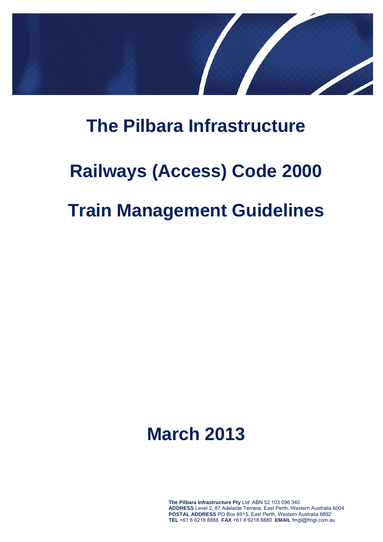

## **The Pilbara Infrastructure**

# **Railways (Access) Code 2000 Train Management Guidelines**

# **March 2013**

**The Pilbara Infrastructure Pty** Ltd ABN 52 103 096 340 **ADDRESS** Level 2, 87 Adelaide Terrace, East Perth, Western Australia 6004 **POSTAL ADDRESS** PO Box 6915, East Perth, Western Australia 6892 **TEL** +61 8 6218 8888 **FAX** +61 8 6218 8880 **EMAIL** fmgl@fmgl.com.au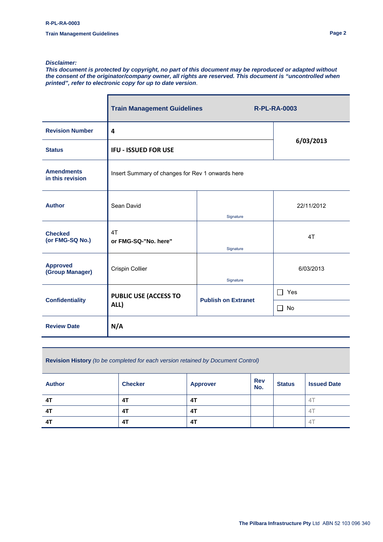#### *Disclaimer:*

*This document is protected by copyright, no part of this document may be reproduced or adapted without the consent of the originator/company owner, all rights are reserved. This document is "uncontrolled when printed", refer to electronic copy for up to date version*.

|                                       | <b>Train Management Guidelines</b>               | <b>R-PL-RA-0003</b>        |            |  |  |
|---------------------------------------|--------------------------------------------------|----------------------------|------------|--|--|
| <b>Revision Number</b>                | 4                                                |                            |            |  |  |
| <b>Status</b>                         | <b>IFU - ISSUED FOR USE</b>                      | 6/03/2013                  |            |  |  |
| <b>Amendments</b><br>in this revision | Insert Summary of changes for Rev 1 onwards here |                            |            |  |  |
| <b>Author</b>                         | Sean David<br>Signature                          |                            | 22/11/2012 |  |  |
| <b>Checked</b><br>(or FMG-SQ No.)     | 4T<br>or FMG-SQ-"No. here"<br>Signature          |                            | 4T         |  |  |
| <b>Approved</b><br>(Group Manager)    | Crispin Collier                                  | Signature                  | 6/03/2013  |  |  |
| <b>Confidentiality</b>                | <b>PUBLIC USE (ACCESS TO</b>                     | <b>Publish on Extranet</b> | Yes<br>П   |  |  |
|                                       | ALL)                                             |                            | No<br>П.   |  |  |
| <b>Review Date</b>                    | N/A                                              |                            |            |  |  |

**Revision History** *(to be completed for each version retained by Document Control)*

| <b>Author</b> | <b>Checker</b> | <b>Approver</b> | <b>Rev</b><br>No. | <b>Status</b> | <b>Issued Date</b> |
|---------------|----------------|-----------------|-------------------|---------------|--------------------|
| 4T            | 4T             | 4T              |                   |               | 4                  |
| 4T            | 4T             | 4T              |                   |               | 41                 |
| 4T            | 4T             | 4T              |                   |               | 41                 |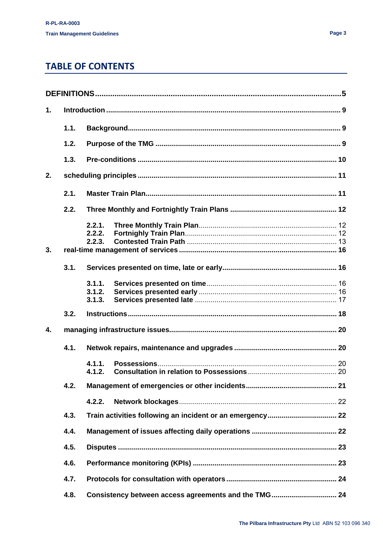## **TABLE OF CONTENTS**

| $\mathbf{1}$ . |      |                            |                                                      |  |  |  |
|----------------|------|----------------------------|------------------------------------------------------|--|--|--|
|                | 1.1. |                            |                                                      |  |  |  |
|                | 1.2. |                            |                                                      |  |  |  |
|                | 1.3. |                            |                                                      |  |  |  |
| 2.             |      |                            |                                                      |  |  |  |
|                | 2.1. |                            |                                                      |  |  |  |
|                | 2.2. |                            |                                                      |  |  |  |
| 3.             |      | 2.2.1.<br>2.2.2.<br>2.2.3. |                                                      |  |  |  |
|                | 3.1. |                            |                                                      |  |  |  |
|                |      | 3.1.1.<br>3.1.2.<br>3.1.3. |                                                      |  |  |  |
|                | 3.2. |                            |                                                      |  |  |  |
| $\mathbf{4}$   |      |                            |                                                      |  |  |  |
|                | 4.1. |                            |                                                      |  |  |  |
|                |      | 4.1.1.<br>4.1.2.           |                                                      |  |  |  |
|                | 4.2. |                            |                                                      |  |  |  |
|                |      | 4.2.2.                     |                                                      |  |  |  |
|                | 4.3. |                            |                                                      |  |  |  |
|                | 4.4. |                            |                                                      |  |  |  |
|                | 4.5. |                            |                                                      |  |  |  |
|                | 4.6. |                            |                                                      |  |  |  |
|                | 4.7. |                            |                                                      |  |  |  |
|                | 4.8. |                            | Consistency between access agreements and the TMG 24 |  |  |  |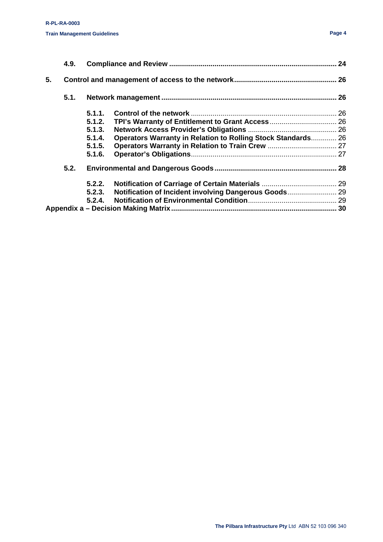|    | 4.9. |        |                                                              |  |
|----|------|--------|--------------------------------------------------------------|--|
| 5. |      |        |                                                              |  |
|    | 5.1. |        |                                                              |  |
|    |      | 5.1.1. |                                                              |  |
|    |      | 5.1.2. |                                                              |  |
|    |      | 5.1.3. |                                                              |  |
|    |      | 5.1.4. | Operators Warranty in Relation to Rolling Stock Standards 26 |  |
|    |      | 5.1.5. |                                                              |  |
|    |      | 5.1.6. |                                                              |  |
|    | 5.2. |        |                                                              |  |
|    |      | 5.2.2. |                                                              |  |
|    |      | 5.2.3. | Notification of Incident involving Dangerous Goods 29        |  |
|    |      |        |                                                              |  |
|    |      |        |                                                              |  |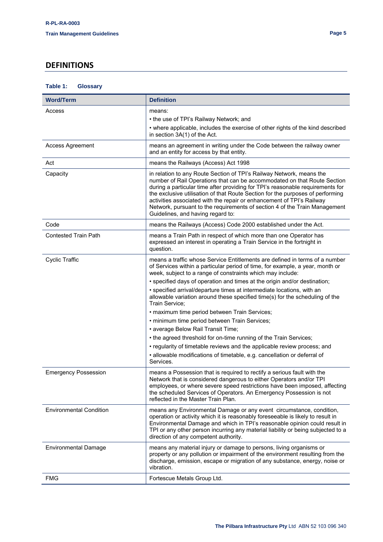### <span id="page-4-0"></span>**DEFINITIONS**

| <b>Word/Term</b>               | <b>Definition</b>                                                                                                                                                                                                                                                                                                                                                                                                                                                                                                |
|--------------------------------|------------------------------------------------------------------------------------------------------------------------------------------------------------------------------------------------------------------------------------------------------------------------------------------------------------------------------------------------------------------------------------------------------------------------------------------------------------------------------------------------------------------|
| Access                         | means:                                                                                                                                                                                                                                                                                                                                                                                                                                                                                                           |
|                                | • the use of TPI's Railway Network; and                                                                                                                                                                                                                                                                                                                                                                                                                                                                          |
|                                | • where applicable, includes the exercise of other rights of the kind described<br>in section 3A(1) of the Act.                                                                                                                                                                                                                                                                                                                                                                                                  |
| <b>Access Agreement</b>        | means an agreement in writing under the Code between the railway owner<br>and an entity for access by that entity.                                                                                                                                                                                                                                                                                                                                                                                               |
| Act                            | means the Railways (Access) Act 1998                                                                                                                                                                                                                                                                                                                                                                                                                                                                             |
| Capacity                       | in relation to any Route Section of TPI's Railway Network, means the<br>number of Rail Operations that can be accommodated on that Route Section<br>during a particular time after providing for TPI's reasonable requirements for<br>the exclusive utilisation of that Route Section for the purposes of performing<br>activities associated with the repair or enhancement of TPI's Railway<br>Network, pursuant to the requirements of section 4 of the Train Management<br>Guidelines, and having regard to: |
| Code                           | means the Railways (Access) Code 2000 established under the Act.                                                                                                                                                                                                                                                                                                                                                                                                                                                 |
| <b>Contested Train Path</b>    | means a Train Path in respect of which more than one Operator has<br>expressed an interest in operating a Train Service in the fortnight in<br>question.                                                                                                                                                                                                                                                                                                                                                         |
| <b>Cyclic Traffic</b>          | means a traffic whose Service Entitlements are defined in terms of a number<br>of Services within a particular period of time, for example, a year, month or<br>week, subject to a range of constraints which may include:                                                                                                                                                                                                                                                                                       |
|                                | • specified days of operation and times at the origin and/or destination;                                                                                                                                                                                                                                                                                                                                                                                                                                        |
|                                | • specified arrival/departure times at intermediate locations, with an<br>allowable variation around these specified time(s) for the scheduling of the<br>Train Service;                                                                                                                                                                                                                                                                                                                                         |
|                                | • maximum time period between Train Services;                                                                                                                                                                                                                                                                                                                                                                                                                                                                    |
|                                | • minimum time period between Train Services;                                                                                                                                                                                                                                                                                                                                                                                                                                                                    |
|                                | • average Below Rail Transit Time;                                                                                                                                                                                                                                                                                                                                                                                                                                                                               |
|                                | • the agreed threshold for on-time running of the Train Services;                                                                                                                                                                                                                                                                                                                                                                                                                                                |
|                                | • regularity of timetable reviews and the applicable review process; and                                                                                                                                                                                                                                                                                                                                                                                                                                         |
|                                | · allowable modifications of timetable, e.g. cancellation or deferral of<br>Services.                                                                                                                                                                                                                                                                                                                                                                                                                            |
| <b>Emergency Possession</b>    | means a Possession that is required to rectify a serious fault with the<br>Network that is considered dangerous to either Operators and/or TPI<br>employees, or where severe speed restrictions have been imposed, affecting<br>the scheduled Services of Operators. An Emergency Possession is not<br>reflected in the Master Train Plan.                                                                                                                                                                       |
| <b>Environmental Condition</b> | means any Environmental Damage or any event circumstance, condition,<br>operation or activity which it is reasonably foreseeable is likely to result in<br>Environmental Damage and which in TPI's reasonable opinion could result in<br>TPI or any other person incurring any material liability or being subjected to a<br>direction of any competent authority.                                                                                                                                               |
| <b>Environmental Damage</b>    | means any material injury or damage to persons, living organisms or<br>property or any pollution or impairment of the environment resulting from the<br>discharge, emission, escape or migration of any substance, energy, noise or<br>vibration.                                                                                                                                                                                                                                                                |
| FMG                            | Fortescue Metals Group Ltd.                                                                                                                                                                                                                                                                                                                                                                                                                                                                                      |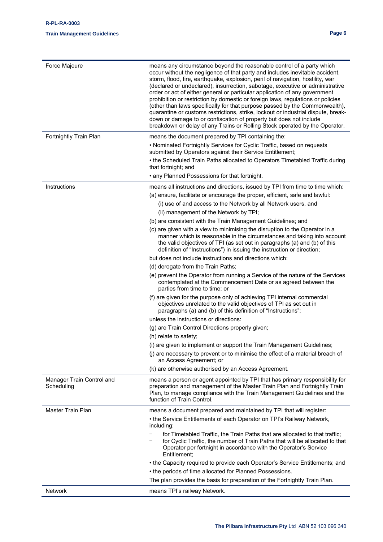#### **R-PL-RA-0003**

#### **Train Management Guidelines Page 6**

| Force Majeure                           | means any circumstance beyond the reasonable control of a party which<br>occur without the negligence of that party and includes inevitable accident,<br>storm, flood, fire, earthquake, explosion, peril of navigation, hostility, war<br>(declared or undeclared), insurrection, sabotage, executive or administrative<br>order or act of either general or particular application of any government<br>prohibition or restriction by domestic or foreign laws, regulations or policies<br>(other than laws specifically for that purpose passed by the Commonwealth),<br>quarantine or customs restrictions, strike, lockout or industrial dispute, break-<br>down or damage to or confiscation of property but does not include<br>breakdown or delay of any Trains or Rolling Stock operated by the Operator. |
|-----------------------------------------|--------------------------------------------------------------------------------------------------------------------------------------------------------------------------------------------------------------------------------------------------------------------------------------------------------------------------------------------------------------------------------------------------------------------------------------------------------------------------------------------------------------------------------------------------------------------------------------------------------------------------------------------------------------------------------------------------------------------------------------------------------------------------------------------------------------------|
| Fortnightly Train Plan                  | means the document prepared by TPI containing the:<br>• Nominated Fortnightly Services for Cyclic Traffic, based on requests<br>submitted by Operators against their Service Entitlement;                                                                                                                                                                                                                                                                                                                                                                                                                                                                                                                                                                                                                          |
|                                         | • the Scheduled Train Paths allocated to Operators Timetabled Traffic during<br>that fortnight; and                                                                                                                                                                                                                                                                                                                                                                                                                                                                                                                                                                                                                                                                                                                |
|                                         | • any Planned Possessions for that fortnight.                                                                                                                                                                                                                                                                                                                                                                                                                                                                                                                                                                                                                                                                                                                                                                      |
| Instructions                            | means all instructions and directions, issued by TPI from time to time which:<br>(a) ensure, facilitate or encourage the proper, efficient, safe and lawful:                                                                                                                                                                                                                                                                                                                                                                                                                                                                                                                                                                                                                                                       |
|                                         | (i) use of and access to the Network by all Network users, and                                                                                                                                                                                                                                                                                                                                                                                                                                                                                                                                                                                                                                                                                                                                                     |
|                                         | (ii) management of the Network by TPI;                                                                                                                                                                                                                                                                                                                                                                                                                                                                                                                                                                                                                                                                                                                                                                             |
|                                         | (b) are consistent with the Train Management Guidelines; and                                                                                                                                                                                                                                                                                                                                                                                                                                                                                                                                                                                                                                                                                                                                                       |
|                                         | (c) are given with a view to minimising the disruption to the Operator in a<br>manner which is reasonable in the circumstances and taking into account<br>the valid objectives of TPI (as set out in paragraphs (a) and (b) of this<br>definition of "Instructions") in issuing the instruction or direction;                                                                                                                                                                                                                                                                                                                                                                                                                                                                                                      |
|                                         | but does not include instructions and directions which:                                                                                                                                                                                                                                                                                                                                                                                                                                                                                                                                                                                                                                                                                                                                                            |
|                                         | (d) derogate from the Train Paths;                                                                                                                                                                                                                                                                                                                                                                                                                                                                                                                                                                                                                                                                                                                                                                                 |
|                                         | (e) prevent the Operator from running a Service of the nature of the Services<br>contemplated at the Commencement Date or as agreed between the<br>parties from time to time; or                                                                                                                                                                                                                                                                                                                                                                                                                                                                                                                                                                                                                                   |
|                                         | (f) are given for the purpose only of achieving TPI internal commercial<br>objectives unrelated to the valid objectives of TPI as set out in<br>paragraphs (a) and (b) of this definition of "Instructions";                                                                                                                                                                                                                                                                                                                                                                                                                                                                                                                                                                                                       |
|                                         | unless the instructions or directions:                                                                                                                                                                                                                                                                                                                                                                                                                                                                                                                                                                                                                                                                                                                                                                             |
|                                         | (g) are Train Control Directions properly given;                                                                                                                                                                                                                                                                                                                                                                                                                                                                                                                                                                                                                                                                                                                                                                   |
|                                         | (h) relate to safety;                                                                                                                                                                                                                                                                                                                                                                                                                                                                                                                                                                                                                                                                                                                                                                                              |
|                                         | (i) are given to implement or support the Train Management Guidelines;                                                                                                                                                                                                                                                                                                                                                                                                                                                                                                                                                                                                                                                                                                                                             |
|                                         | (j) are necessary to prevent or to minimise the effect of a material breach of<br>an Access Agreement; or                                                                                                                                                                                                                                                                                                                                                                                                                                                                                                                                                                                                                                                                                                          |
|                                         | (k) are otherwise authorised by an Access Agreement.                                                                                                                                                                                                                                                                                                                                                                                                                                                                                                                                                                                                                                                                                                                                                               |
| Manager Train Control and<br>Scheduling | means a person or agent appointed by TPI that has primary responsibility for<br>preparation and management of the Master Train Plan and Fortnightly Train<br>Plan, to manage compliance with the Train Management Guidelines and the<br>function of Train Control.                                                                                                                                                                                                                                                                                                                                                                                                                                                                                                                                                 |
| Master Train Plan                       | means a document prepared and maintained by TPI that will register:                                                                                                                                                                                                                                                                                                                                                                                                                                                                                                                                                                                                                                                                                                                                                |
|                                         | • the Service Entitlements of each Operator on TPI's Railway Network,<br>including:                                                                                                                                                                                                                                                                                                                                                                                                                                                                                                                                                                                                                                                                                                                                |
|                                         | for Timetabled Traffic, the Train Paths that are allocated to that traffic;<br>$\overline{\phantom{m}}$<br>for Cyclic Traffic, the number of Train Paths that will be allocated to that<br>Operator per fortnight in accordance with the Operator's Service<br>Entitlement;                                                                                                                                                                                                                                                                                                                                                                                                                                                                                                                                        |
|                                         | • the Capacity required to provide each Operator's Service Entitlements; and                                                                                                                                                                                                                                                                                                                                                                                                                                                                                                                                                                                                                                                                                                                                       |
|                                         | • the periods of time allocated for Planned Possessions.                                                                                                                                                                                                                                                                                                                                                                                                                                                                                                                                                                                                                                                                                                                                                           |
|                                         | The plan provides the basis for preparation of the Fortnightly Train Plan.                                                                                                                                                                                                                                                                                                                                                                                                                                                                                                                                                                                                                                                                                                                                         |
| Network                                 | means TPI's railway Network.                                                                                                                                                                                                                                                                                                                                                                                                                                                                                                                                                                                                                                                                                                                                                                                       |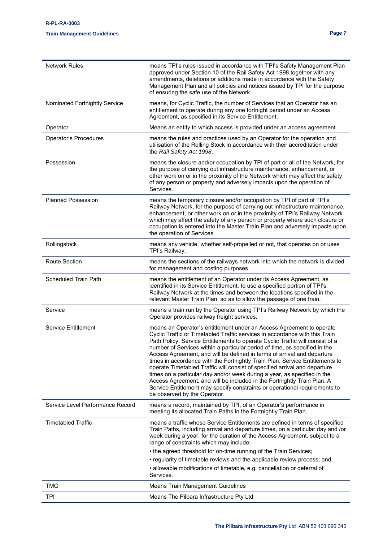#### **R-PL-RA-0003**

#### **Train Management Guidelines Page 7**

| <b>Network Rules</b>             | means TPI's rules issued in accordance with TPI's Safety Management Plan<br>approved under Section 10 of the Rail Safety Act 1998 together with any<br>amendments, deletions or additions made in accordance with the Safety<br>Management Plan and all policies and notices issued by TPI for the purpose<br>of ensuring the safe use of the Network.                                                                                                                                                                                                                                                                                                                                                                                                                                                                           |
|----------------------------------|----------------------------------------------------------------------------------------------------------------------------------------------------------------------------------------------------------------------------------------------------------------------------------------------------------------------------------------------------------------------------------------------------------------------------------------------------------------------------------------------------------------------------------------------------------------------------------------------------------------------------------------------------------------------------------------------------------------------------------------------------------------------------------------------------------------------------------|
| Nominated Fortnightly Service    | means, for Cyclic Traffic, the number of Services that an Operator has an<br>entitlement to operate during any one fortnight period under an Access<br>Agreement, as specified in its Service Entitlement.                                                                                                                                                                                                                                                                                                                                                                                                                                                                                                                                                                                                                       |
| Operator                         | Means an entity to which access is provided under an access agreement                                                                                                                                                                                                                                                                                                                                                                                                                                                                                                                                                                                                                                                                                                                                                            |
| Operator's Procedures            | means the rules and practices used by an Operator for the operation and<br>utilisation of the Rolling Stock in accordance with their accreditation under<br>the Rail Safety Act 1998.                                                                                                                                                                                                                                                                                                                                                                                                                                                                                                                                                                                                                                            |
| Possession                       | means the closure and/or occupation by TPI of part or all of the Network, for<br>the purpose of carrying out infrastructure maintenance, enhancement, or<br>other work on or in the proximity of the Network which may affect the safety<br>of any person or property and adversely impacts upon the operation of<br>Services.                                                                                                                                                                                                                                                                                                                                                                                                                                                                                                   |
| <b>Planned Possession</b>        | means the temporary closure and/or occupation by TPI of part of TPI's<br>Railway Network, for the purpose of carrying out infrastructure maintenance,<br>enhancement, or other work on or in the proximity of TPI's Railway Network<br>which may affect the safety of any person or property where such closure or<br>occupation is entered into the Master Train Plan and adversely impacts upon<br>the operation of Services.                                                                                                                                                                                                                                                                                                                                                                                                  |
| Rollingstock                     | means any vehicle, whether self-propelled or not, that operates on or uses<br>TPI's Railway.                                                                                                                                                                                                                                                                                                                                                                                                                                                                                                                                                                                                                                                                                                                                     |
| Route Section                    | means the sections of the railways network into which the network is divided<br>for management and costing purposes.                                                                                                                                                                                                                                                                                                                                                                                                                                                                                                                                                                                                                                                                                                             |
| <b>Scheduled Train Path</b>      | means the entitlement of an Operator under its Access Agreement, as<br>identified in its Service Entitlement, to use a specified portion of TPI's<br>Railway Network at the times and between the locations specified in the<br>relevant Master Train Plan, so as to allow the passage of one train.                                                                                                                                                                                                                                                                                                                                                                                                                                                                                                                             |
| Service                          | means a train run by the Operator using TPI's Railway Network by which the<br>Operator provides railway freight services.                                                                                                                                                                                                                                                                                                                                                                                                                                                                                                                                                                                                                                                                                                        |
| Service Entitlement              | means an Operator's entitlement under an Access Agreement to operate<br>Cyclic Traffic or Timetabled Traffic services in accordance with this Train<br>Path Policy. Service Entitlements to operate Cyclic Traffic will consist of a<br>number of Services within a particular period of time, as specified in the<br>Access Agreement, and will be defined in terms of arrival and departure<br>times in accordance with the Fortnightly Train Plan. Service Entitlements to<br>operate Timetabled Traffic will consist of specified arrival and departure<br>times on a particular day and/or week during a year, as specified in the<br>Access Agreement, and will be included in the Fortnightly Train Plan. A<br>Service Entitlement may specify constraints or operational requirements to<br>be observed by the Operator. |
| Service Level Performance Record | means a record, maintained by TPI, of an Operator's performance in<br>meeting its allocated Train Paths in the Fortnightly Train Plan.                                                                                                                                                                                                                                                                                                                                                                                                                                                                                                                                                                                                                                                                                           |
| <b>Timetabled Traffic</b>        | means a traffic whose Service Entitlements are defined in terms of specified<br>Train Paths, including arrival and departure times, on a particular day and /or<br>week during a year, for the duration of the Access Agreement, subject to a<br>range of constraints which may include:<br>• the agreed threshold for on-time running of the Train Services;<br>• regularity of timetable reviews and the applicable review process; and<br>· allowable modifications of timetable, e.g. cancellation or deferral of<br>Services.                                                                                                                                                                                                                                                                                               |
| TMG                              | <b>Means Train Management Guidelines</b>                                                                                                                                                                                                                                                                                                                                                                                                                                                                                                                                                                                                                                                                                                                                                                                         |
| <b>TPI</b>                       | Means The Pilbara Infrastructure Pty Ltd                                                                                                                                                                                                                                                                                                                                                                                                                                                                                                                                                                                                                                                                                                                                                                                         |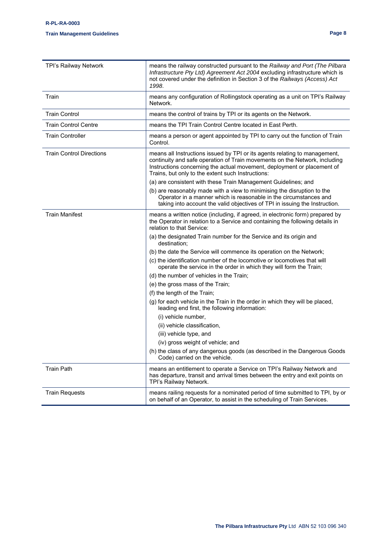| TPI's Railway Network           | means the railway constructed pursuant to the Railway and Port (The Pilbara<br>Infrastructure Pty Ltd) Agreement Act 2004 excluding infrastructure which is<br>not covered under the definition in Section 3 of the Railways (Access) Act<br>1998.                                       |
|---------------------------------|------------------------------------------------------------------------------------------------------------------------------------------------------------------------------------------------------------------------------------------------------------------------------------------|
| Train                           | means any configuration of Rollingstock operating as a unit on TPI's Railway<br>Network.                                                                                                                                                                                                 |
| <b>Train Control</b>            | means the control of trains by TPI or its agents on the Network.                                                                                                                                                                                                                         |
| <b>Train Control Centre</b>     | means the TPI Train Control Centre located in East Perth.                                                                                                                                                                                                                                |
| Train Controller                | means a person or agent appointed by TPI to carry out the function of Train<br>Control.                                                                                                                                                                                                  |
| <b>Train Control Directions</b> | means all Instructions issued by TPI or its agents relating to management,<br>continuity and safe operation of Train movements on the Network, including<br>Instructions concerning the actual movement, deployment or placement of<br>Trains, but only to the extent such Instructions: |
|                                 | (a) are consistent with these Train Management Guidelines; and                                                                                                                                                                                                                           |
|                                 | (b) are reasonably made with a view to minimising the disruption to the<br>Operator in a manner which is reasonable in the circumstances and<br>taking into account the valid objectives of TPI in issuing the Instruction.                                                              |
| <b>Train Manifest</b>           | means a written notice (including, if agreed, in electronic form) prepared by<br>the Operator in relation to a Service and containing the following details in<br>relation to that Service:                                                                                              |
|                                 | (a) the designated Train number for the Service and its origin and<br>destination;                                                                                                                                                                                                       |
|                                 | (b) the date the Service will commence its operation on the Network;                                                                                                                                                                                                                     |
|                                 | (c) the identification number of the locomotive or locomotives that will<br>operate the service in the order in which they will form the Train;                                                                                                                                          |
|                                 | (d) the number of vehicles in the Train;                                                                                                                                                                                                                                                 |
|                                 | (e) the gross mass of the Train;                                                                                                                                                                                                                                                         |
|                                 | (f) the length of the Train;                                                                                                                                                                                                                                                             |
|                                 | (g) for each vehicle in the Train in the order in which they will be placed,<br>leading end first, the following information:                                                                                                                                                            |
|                                 | (i) vehicle number,                                                                                                                                                                                                                                                                      |
|                                 | (ii) vehicle classification,                                                                                                                                                                                                                                                             |
|                                 | (iii) vehicle type, and                                                                                                                                                                                                                                                                  |
|                                 | (iv) gross weight of vehicle; and                                                                                                                                                                                                                                                        |
|                                 | (h) the class of any dangerous goods (as described in the Dangerous Goods<br>Code) carried on the vehicle.                                                                                                                                                                               |
| <b>Train Path</b>               | means an entitlement to operate a Service on TPI's Railway Network and<br>has departure, transit and arrival times between the entry and exit points on<br>TPI's Railway Network.                                                                                                        |
| <b>Train Requests</b>           | means railing requests for a nominated period of time submitted to TPI, by or<br>on behalf of an Operator, to assist in the scheduling of Train Services.                                                                                                                                |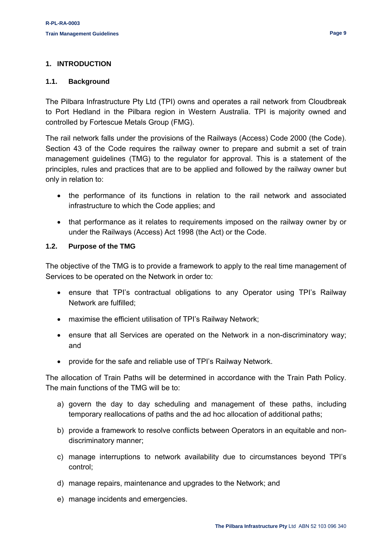#### <span id="page-8-1"></span><span id="page-8-0"></span>**1.1. Background**

The Pilbara Infrastructure Pty Ltd (TPI) owns and operates a rail network from Cloudbreak to Port Hedland in the Pilbara region in Western Australia. TPI is majority owned and controlled by Fortescue Metals Group (FMG).

The rail network falls under the provisions of the Railways (Access) Code 2000 (the Code). Section 43 of the Code requires the railway owner to prepare and submit a set of train management guidelines (TMG) to the regulator for approval. This is a statement of the principles, rules and practices that are to be applied and followed by the railway owner but only in relation to:

- the performance of its functions in relation to the rail network and associated infrastructure to which the Code applies; and
- that performance as it relates to requirements imposed on the railway owner by or under the Railways (Access) Act 1998 (the Act) or the Code.

#### <span id="page-8-2"></span>**1.2. Purpose of the TMG**

The objective of the TMG is to provide a framework to apply to the real time management of Services to be operated on the Network in order to:

- ensure that TPI's contractual obligations to any Operator using TPI's Railway Network are fulfilled;
- maximise the efficient utilisation of TPI's Railway Network;
- ensure that all Services are operated on the Network in a non-discriminatory way; and
- provide for the safe and reliable use of TPI's Railway Network.

The allocation of Train Paths will be determined in accordance with the Train Path Policy. The main functions of the TMG will be to:

- a) govern the day to day scheduling and management of these paths, including temporary reallocations of paths and the ad hoc allocation of additional paths;
- b) provide a framework to resolve conflicts between Operators in an equitable and nondiscriminatory manner;
- c) manage interruptions to network availability due to circumstances beyond TPI's control;
- d) manage repairs, maintenance and upgrades to the Network; and
- e) manage incidents and emergencies.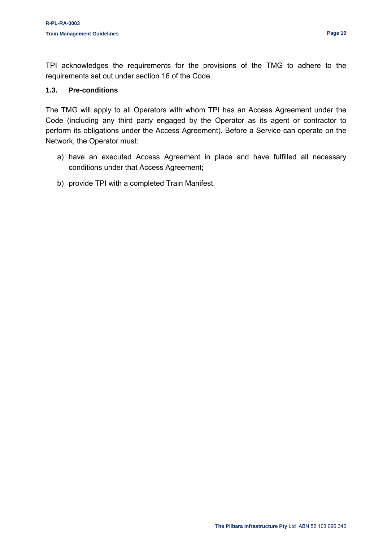TPI acknowledges the requirements for the provisions of the TMG to adhere to the requirements set out under section 16 of the Code.

#### <span id="page-9-0"></span>**1.3. Pre-conditions**

The TMG will apply to all Operators with whom TPI has an Access Agreement under the Code (including any third party engaged by the Operator as its agent or contractor to perform its obligations under the Access Agreement). Before a Service can operate on the Network, the Operator must:

- a) have an executed Access Agreement in place and have fulfilled all necessary conditions under that Access Agreement;
- b) provide TPI with a completed Train Manifest.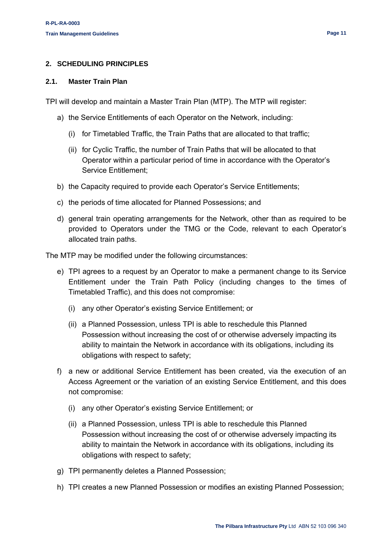#### <span id="page-10-0"></span>**2. SCHEDULING PRINCIPLES**

#### <span id="page-10-1"></span>**2.1. Master Train Plan**

TPI will develop and maintain a Master Train Plan (MTP). The MTP will register:

- a) the Service Entitlements of each Operator on the Network, including:
	- (i) for Timetabled Traffic, the Train Paths that are allocated to that traffic;
	- (ii) for Cyclic Traffic, the number of Train Paths that will be allocated to that Operator within a particular period of time in accordance with the Operator's Service Entitlement;
- b) the Capacity required to provide each Operator's Service Entitlements;
- c) the periods of time allocated for Planned Possessions; and
- d) general train operating arrangements for the Network, other than as required to be provided to Operators under the TMG or the Code, relevant to each Operator's allocated train paths.

The MTP may be modified under the following circumstances:

- e) TPI agrees to a request by an Operator to make a permanent change to its Service Entitlement under the Train Path Policy (including changes to the times of Timetabled Traffic), and this does not compromise:
	- (i) any other Operator's existing Service Entitlement; or
	- (ii) a Planned Possession, unless TPI is able to reschedule this Planned Possession without increasing the cost of or otherwise adversely impacting its ability to maintain the Network in accordance with its obligations, including its obligations with respect to safety;
- f) a new or additional Service Entitlement has been created, via the execution of an Access Agreement or the variation of an existing Service Entitlement, and this does not compromise:
	- (i) any other Operator's existing Service Entitlement; or
	- (ii) a Planned Possession, unless TPI is able to reschedule this Planned Possession without increasing the cost of or otherwise adversely impacting its ability to maintain the Network in accordance with its obligations, including its obligations with respect to safety;
- g) TPI permanently deletes a Planned Possession;
- h) TPI creates a new Planned Possession or modifies an existing Planned Possession;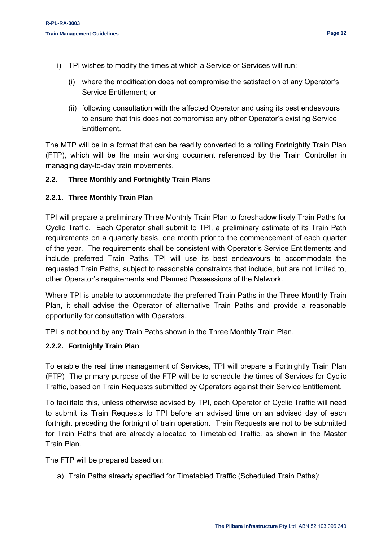- i) TPI wishes to modify the times at which a Service or Services will run:
	- (i) where the modification does not compromise the satisfaction of any Operator's Service Entitlement; or
	- (ii) following consultation with the affected Operator and using its best endeavours to ensure that this does not compromise any other Operator's existing Service Entitlement.

The MTP will be in a format that can be readily converted to a rolling Fortnightly Train Plan (FTP), which will be the main working document referenced by the Train Controller in managing day-to-day train movements.

#### <span id="page-11-0"></span>**2.2. Three Monthly and Fortnightly Train Plans**

#### <span id="page-11-1"></span>**2.2.1. Three Monthly Train Plan**

TPI will prepare a preliminary Three Monthly Train Plan to foreshadow likely Train Paths for Cyclic Traffic. Each Operator shall submit to TPI, a preliminary estimate of its Train Path requirements on a quarterly basis, one month prior to the commencement of each quarter of the year. The requirements shall be consistent with Operator's Service Entitlements and include preferred Train Paths. TPI will use its best endeavours to accommodate the requested Train Paths, subject to reasonable constraints that include, but are not limited to, other Operator's requirements and Planned Possessions of the Network.

Where TPI is unable to accommodate the preferred Train Paths in the Three Monthly Train Plan, it shall advise the Operator of alternative Train Paths and provide a reasonable opportunity for consultation with Operators.

TPI is not bound by any Train Paths shown in the Three Monthly Train Plan.

#### <span id="page-11-2"></span>**2.2.2. Fortnighly Train Plan**

To enable the real time management of Services, TPI will prepare a Fortnightly Train Plan (FTP) The primary purpose of the FTP will be to schedule the times of Services for Cyclic Traffic, based on Train Requests submitted by Operators against their Service Entitlement.

To facilitate this, unless otherwise advised by TPI, each Operator of Cyclic Traffic will need to submit its Train Requests to TPI before an advised time on an advised day of each fortnight preceding the fortnight of train operation. Train Requests are not to be submitted for Train Paths that are already allocated to Timetabled Traffic, as shown in the Master Train Plan.

The FTP will be prepared based on:

a) Train Paths already specified for Timetabled Traffic (Scheduled Train Paths);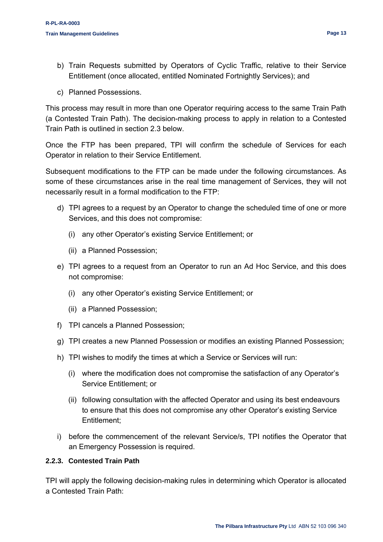- b) Train Requests submitted by Operators of Cyclic Traffic, relative to their Service Entitlement (once allocated, entitled Nominated Fortnightly Services); and
- c) Planned Possessions.

This process may result in more than one Operator requiring access to the same Train Path (a Contested Train Path). The decision-making process to apply in relation to a Contested Train Path is outlined in section 2.3 below.

Once the FTP has been prepared, TPI will confirm the schedule of Services for each Operator in relation to their Service Entitlement.

Subsequent modifications to the FTP can be made under the following circumstances. As some of these circumstances arise in the real time management of Services, they will not necessarily result in a formal modification to the FTP:

- d) TPI agrees to a request by an Operator to change the scheduled time of one or more Services, and this does not compromise:
	- (i) any other Operator's existing Service Entitlement; or
	- (ii) a Planned Possession;
- e) TPI agrees to a request from an Operator to run an Ad Hoc Service, and this does not compromise:
	- (i) any other Operator's existing Service Entitlement; or
	- (ii) a Planned Possession;
- f) TPI cancels a Planned Possession;
- g) TPI creates a new Planned Possession or modifies an existing Planned Possession;
- h) TPI wishes to modify the times at which a Service or Services will run:
	- (i) where the modification does not compromise the satisfaction of any Operator's Service Entitlement; or
	- (ii) following consultation with the affected Operator and using its best endeavours to ensure that this does not compromise any other Operator's existing Service Entitlement;
- i) before the commencement of the relevant Service/s, TPI notifies the Operator that an Emergency Possession is required.

#### <span id="page-12-0"></span>**2.2.3. Contested Train Path**

TPI will apply the following decision-making rules in determining which Operator is allocated a Contested Train Path: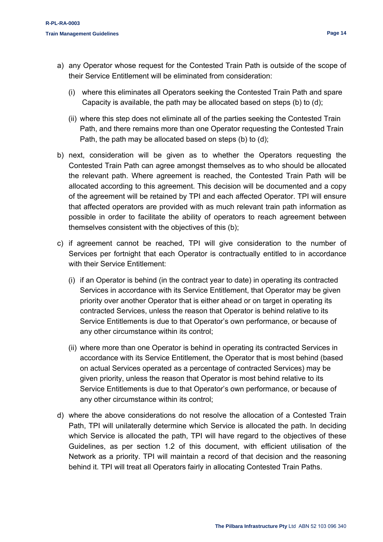- a) any Operator whose request for the Contested Train Path is outside of the scope of their Service Entitlement will be eliminated from consideration:
	- (i) where this eliminates all Operators seeking the Contested Train Path and spare Capacity is available, the path may be allocated based on steps (b) to (d);
	- (ii) where this step does not eliminate all of the parties seeking the Contested Train Path, and there remains more than one Operator requesting the Contested Train Path, the path may be allocated based on steps (b) to (d);
- b) next, consideration will be given as to whether the Operators requesting the Contested Train Path can agree amongst themselves as to who should be allocated the relevant path. Where agreement is reached, the Contested Train Path will be allocated according to this agreement. This decision will be documented and a copy of the agreement will be retained by TPI and each affected Operator. TPI will ensure that affected operators are provided with as much relevant train path information as possible in order to facilitate the ability of operators to reach agreement between themselves consistent with the objectives of this (b);
- c) if agreement cannot be reached, TPI will give consideration to the number of Services per fortnight that each Operator is contractually entitled to in accordance with their Service Entitlement:
	- (i) if an Operator is behind (in the contract year to date) in operating its contracted Services in accordance with its Service Entitlement, that Operator may be given priority over another Operator that is either ahead or on target in operating its contracted Services, unless the reason that Operator is behind relative to its Service Entitlements is due to that Operator's own performance, or because of any other circumstance within its control;
	- (ii) where more than one Operator is behind in operating its contracted Services in accordance with its Service Entitlement, the Operator that is most behind (based on actual Services operated as a percentage of contracted Services) may be given priority, unless the reason that Operator is most behind relative to its Service Entitlements is due to that Operator's own performance, or because of any other circumstance within its control;
- d) where the above considerations do not resolve the allocation of a Contested Train Path, TPI will unilaterally determine which Service is allocated the path. In deciding which Service is allocated the path, TPI will have regard to the objectives of these Guidelines, as per section 1.2 of this document, with efficient utilisation of the Network as a priority. TPI will maintain a record of that decision and the reasoning behind it. TPI will treat all Operators fairly in allocating Contested Train Paths.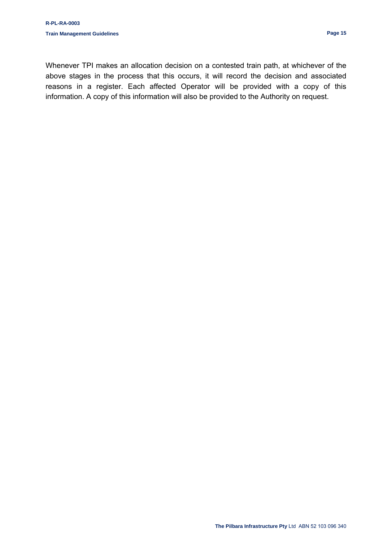Whenever TPI makes an allocation decision on a contested train path, at whichever of the above stages in the process that this occurs, it will record the decision and associated reasons in a register. Each affected Operator will be provided with a copy of this information. A copy of this information will also be provided to the Authority on request.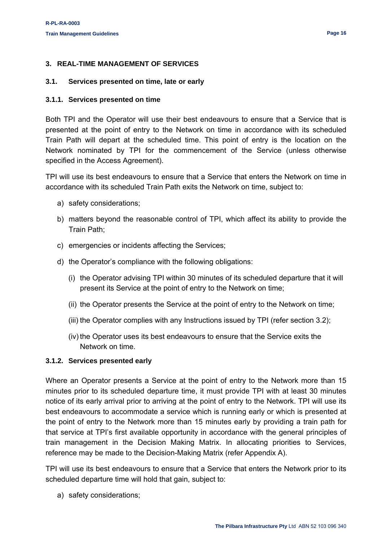#### <span id="page-15-0"></span>**3. REAL-TIME MANAGEMENT OF SERVICES**

#### <span id="page-15-1"></span>**3.1. Services presented on time, late or early**

#### <span id="page-15-2"></span>**3.1.1. Services presented on time**

Both TPI and the Operator will use their best endeavours to ensure that a Service that is presented at the point of entry to the Network on time in accordance with its scheduled Train Path will depart at the scheduled time. This point of entry is the location on the Network nominated by TPI for the commencement of the Service (unless otherwise specified in the Access Agreement).

TPI will use its best endeavours to ensure that a Service that enters the Network on time in accordance with its scheduled Train Path exits the Network on time, subject to:

- a) safety considerations;
- b) matters beyond the reasonable control of TPI, which affect its ability to provide the Train Path;
- c) emergencies or incidents affecting the Services;
- d) the Operator's compliance with the following obligations:
	- (i) the Operator advising TPI within 30 minutes of its scheduled departure that it will present its Service at the point of entry to the Network on time;
	- (ii) the Operator presents the Service at the point of entry to the Network on time;
	- (iii) the Operator complies with any Instructions issued by TPI (refer section 3.2);
	- (iv) the Operator uses its best endeavours to ensure that the Service exits the Network on time.

#### <span id="page-15-3"></span>**3.1.2. Services presented early**

Where an Operator presents a Service at the point of entry to the Network more than 15 minutes prior to its scheduled departure time, it must provide TPI with at least 30 minutes notice of its early arrival prior to arriving at the point of entry to the Network. TPI will use its best endeavours to accommodate a service which is running early or which is presented at the point of entry to the Network more than 15 minutes early by providing a train path for that service at TPI's first available opportunity in accordance with the general principles of train management in the Decision Making Matrix. In allocating priorities to Services, reference may be made to the Decision-Making Matrix (refer Appendix A).

TPI will use its best endeavours to ensure that a Service that enters the Network prior to its scheduled departure time will hold that gain, subject to:

a) safety considerations;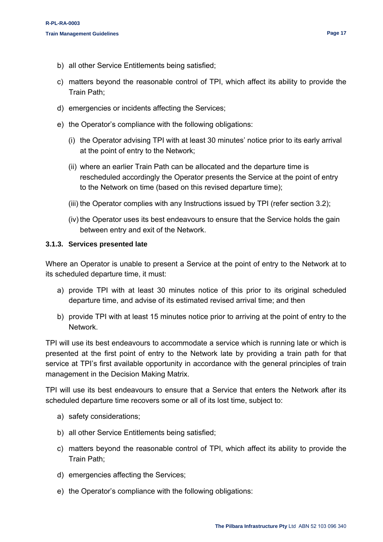- b) all other Service Entitlements being satisfied;
- c) matters beyond the reasonable control of TPI, which affect its ability to provide the Train Path;
- d) emergencies or incidents affecting the Services;
- e) the Operator's compliance with the following obligations:
	- (i) the Operator advising TPI with at least 30 minutes' notice prior to its early arrival at the point of entry to the Network;
	- (ii) where an earlier Train Path can be allocated and the departure time is rescheduled accordingly the Operator presents the Service at the point of entry to the Network on time (based on this revised departure time);
	- (iii) the Operator complies with any Instructions issued by TPI (refer section 3.2);
	- (iv) the Operator uses its best endeavours to ensure that the Service holds the gain between entry and exit of the Network.

#### <span id="page-16-0"></span>**3.1.3. Services presented late**

Where an Operator is unable to present a Service at the point of entry to the Network at to its scheduled departure time, it must:

- a) provide TPI with at least 30 minutes notice of this prior to its original scheduled departure time, and advise of its estimated revised arrival time; and then
- b) provide TPI with at least 15 minutes notice prior to arriving at the point of entry to the Network.

TPI will use its best endeavours to accommodate a service which is running late or which is presented at the first point of entry to the Network late by providing a train path for that service at TPI's first available opportunity in accordance with the general principles of train management in the Decision Making Matrix.

TPI will use its best endeavours to ensure that a Service that enters the Network after its scheduled departure time recovers some or all of its lost time, subject to:

- a) safety considerations;
- b) all other Service Entitlements being satisfied;
- c) matters beyond the reasonable control of TPI, which affect its ability to provide the Train Path;
- d) emergencies affecting the Services;
- e) the Operator's compliance with the following obligations: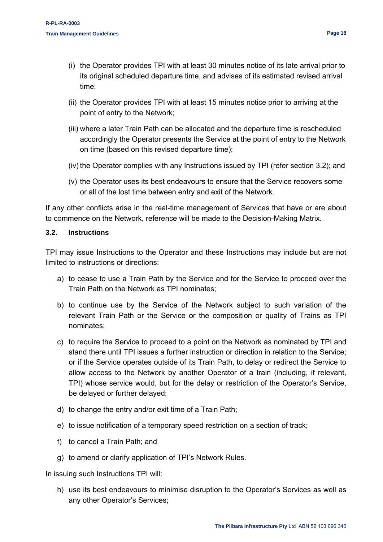- (ii) the Operator provides TPI with at least 15 minutes notice prior to arriving at the point of entry to the Network;
- (iii) where a later Train Path can be allocated and the departure time is rescheduled accordingly the Operator presents the Service at the point of entry to the Network on time (based on this revised departure time);
- (iv) the Operator complies with any Instructions issued by TPI (refer section 3.2); and
- (v) the Operator uses its best endeavours to ensure that the Service recovers some or all of the lost time between entry and exit of the Network.

If any other conflicts arise in the real-time management of Services that have or are about to commence on the Network, reference will be made to the Decision-Making Matrix.

#### <span id="page-17-0"></span>**3.2. Instructions**

TPI may issue Instructions to the Operator and these Instructions may include but are not limited to instructions or directions:

- a) to cease to use a Train Path by the Service and for the Service to proceed over the Train Path on the Network as TPI nominates;
- b) to continue use by the Service of the Network subject to such variation of the relevant Train Path or the Service or the composition or quality of Trains as TPI nominates;
- c) to require the Service to proceed to a point on the Network as nominated by TPI and stand there until TPI issues a further instruction or direction in relation to the Service; or if the Service operates outside of its Train Path, to delay or redirect the Service to allow access to the Network by another Operator of a train (including, if relevant, TPI) whose service would, but for the delay or restriction of the Operator's Service, be delayed or further delayed;
- d) to change the entry and/or exit time of a Train Path;
- e) to issue notification of a temporary speed restriction on a section of track;
- f) to cancel a Train Path; and
- g) to amend or clarify application of TPI's Network Rules.

In issuing such Instructions TPI will:

h) use its best endeavours to minimise disruption to the Operator's Services as well as any other Operator's Services;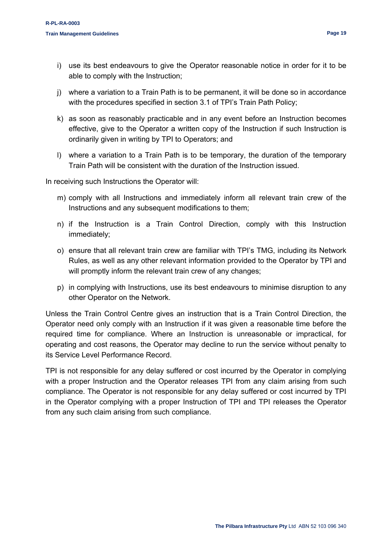- i) use its best endeavours to give the Operator reasonable notice in order for it to be able to comply with the Instruction;
- j) where a variation to a Train Path is to be permanent, it will be done so in accordance with the procedures specified in section 3.1 of TPI's Train Path Policy;
- k) as soon as reasonably practicable and in any event before an Instruction becomes effective, give to the Operator a written copy of the Instruction if such Instruction is ordinarily given in writing by TPI to Operators; and
- l) where a variation to a Train Path is to be temporary, the duration of the temporary Train Path will be consistent with the duration of the Instruction issued.

In receiving such Instructions the Operator will:

- m) comply with all Instructions and immediately inform all relevant train crew of the Instructions and any subsequent modifications to them;
- n) if the Instruction is a Train Control Direction, comply with this Instruction immediately;
- o) ensure that all relevant train crew are familiar with TPI's TMG, including its Network Rules, as well as any other relevant information provided to the Operator by TPI and will promptly inform the relevant train crew of any changes;
- p) in complying with Instructions, use its best endeavours to minimise disruption to any other Operator on the Network.

Unless the Train Control Centre gives an instruction that is a Train Control Direction, the Operator need only comply with an Instruction if it was given a reasonable time before the required time for compliance. Where an Instruction is unreasonable or impractical, for operating and cost reasons, the Operator may decline to run the service without penalty to its Service Level Performance Record.

TPI is not responsible for any delay suffered or cost incurred by the Operator in complying with a proper Instruction and the Operator releases TPI from any claim arising from such compliance. The Operator is not responsible for any delay suffered or cost incurred by TPI in the Operator complying with a proper Instruction of TPI and TPI releases the Operator from any such claim arising from such compliance.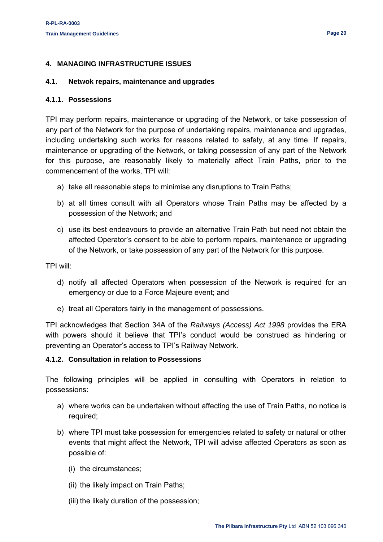#### <span id="page-19-0"></span>**4. MANAGING INFRASTRUCTURE ISSUES**

#### <span id="page-19-1"></span>**4.1. Netwok repairs, maintenance and upgrades**

#### <span id="page-19-2"></span>**4.1.1. Possessions**

TPI may perform repairs, maintenance or upgrading of the Network, or take possession of any part of the Network for the purpose of undertaking repairs, maintenance and upgrades, including undertaking such works for reasons related to safety, at any time. If repairs, maintenance or upgrading of the Network, or taking possession of any part of the Network for this purpose, are reasonably likely to materially affect Train Paths, prior to the commencement of the works, TPI will:

- a) take all reasonable steps to minimise any disruptions to Train Paths;
- b) at all times consult with all Operators whose Train Paths may be affected by a possession of the Network; and
- c) use its best endeavours to provide an alternative Train Path but need not obtain the affected Operator's consent to be able to perform repairs, maintenance or upgrading of the Network, or take possession of any part of the Network for this purpose.

TPI will:

- d) notify all affected Operators when possession of the Network is required for an emergency or due to a Force Majeure event; and
- e) treat all Operators fairly in the management of possessions.

TPI acknowledges that Section 34A of the *Railways (Access) Act 1998* provides the ERA with powers should it believe that TPI's conduct would be construed as hindering or preventing an Operator's access to TPI's Railway Network.

#### <span id="page-19-3"></span>**4.1.2. Consultation in relation to Possessions**

The following principles will be applied in consulting with Operators in relation to possessions:

- a) where works can be undertaken without affecting the use of Train Paths, no notice is required;
- b) where TPI must take possession for emergencies related to safety or natural or other events that might affect the Network, TPI will advise affected Operators as soon as possible of:
	- (i) the circumstances;
	- (ii) the likely impact on Train Paths;
	- (iii) the likely duration of the possession;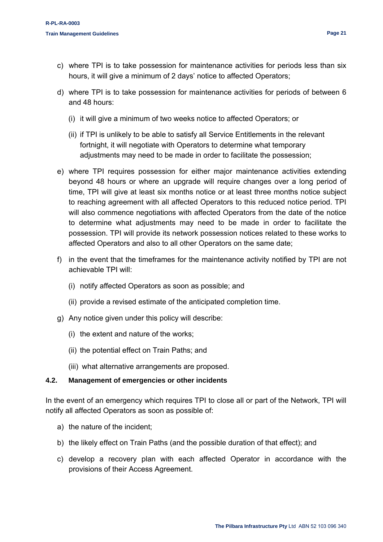- c) where TPI is to take possession for maintenance activities for periods less than six hours, it will give a minimum of 2 days' notice to affected Operators;
- d) where TPI is to take possession for maintenance activities for periods of between 6 and 48 hours:
	- (i) it will give a minimum of two weeks notice to affected Operators; or
	- (ii) if TPI is unlikely to be able to satisfy all Service Entitlements in the relevant fortnight, it will negotiate with Operators to determine what temporary adjustments may need to be made in order to facilitate the possession;
- e) where TPI requires possession for either major maintenance activities extending beyond 48 hours or where an upgrade will require changes over a long period of time, TPI will give at least six months notice or at least three months notice subject to reaching agreement with all affected Operators to this reduced notice period. TPI will also commence negotiations with affected Operators from the date of the notice to determine what adjustments may need to be made in order to facilitate the possession. TPI will provide its network possession notices related to these works to affected Operators and also to all other Operators on the same date;
- f) in the event that the timeframes for the maintenance activity notified by TPI are not achievable TPI will:
	- (i) notify affected Operators as soon as possible; and
	- (ii) provide a revised estimate of the anticipated completion time.
- g) Any notice given under this policy will describe:
	- (i) the extent and nature of the works;
	- (ii) the potential effect on Train Paths; and
	- (iii) what alternative arrangements are proposed.

#### <span id="page-20-0"></span>**4.2. Management of emergencies or other incidents**

In the event of an emergency which requires TPI to close all or part of the Network, TPI will notify all affected Operators as soon as possible of:

- a) the nature of the incident;
- b) the likely effect on Train Paths (and the possible duration of that effect); and
- c) develop a recovery plan with each affected Operator in accordance with the provisions of their Access Agreement.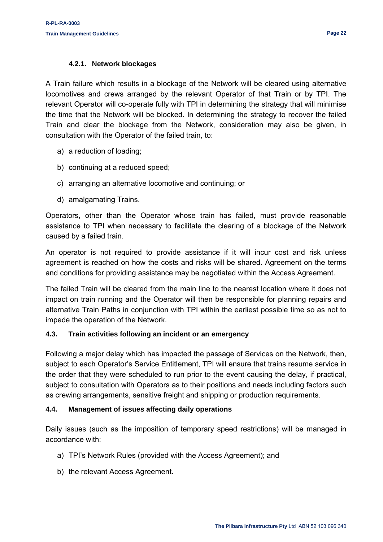#### **4.2.1. Network blockages**

<span id="page-21-0"></span>A Train failure which results in a blockage of the Network will be cleared using alternative locomotives and crews arranged by the relevant Operator of that Train or by TPI. The relevant Operator will co-operate fully with TPI in determining the strategy that will minimise the time that the Network will be blocked. In determining the strategy to recover the failed Train and clear the blockage from the Network, consideration may also be given, in consultation with the Operator of the failed train, to:

- a) a reduction of loading;
- b) continuing at a reduced speed;
- c) arranging an alternative locomotive and continuing; or
- d) amalgamating Trains.

Operators, other than the Operator whose train has failed, must provide reasonable assistance to TPI when necessary to facilitate the clearing of a blockage of the Network caused by a failed train.

An operator is not required to provide assistance if it will incur cost and risk unless agreement is reached on how the costs and risks will be shared. Agreement on the terms and conditions for providing assistance may be negotiated within the Access Agreement.

The failed Train will be cleared from the main line to the nearest location where it does not impact on train running and the Operator will then be responsible for planning repairs and alternative Train Paths in conjunction with TPI within the earliest possible time so as not to impede the operation of the Network.

#### <span id="page-21-1"></span>**4.3. Train activities following an incident or an emergency**

Following a major delay which has impacted the passage of Services on the Network, then, subject to each Operator's Service Entitlement, TPI will ensure that trains resume service in the order that they were scheduled to run prior to the event causing the delay, if practical, subject to consultation with Operators as to their positions and needs including factors such as crewing arrangements, sensitive freight and shipping or production requirements.

#### <span id="page-21-2"></span>**4.4. Management of issues affecting daily operations**

Daily issues (such as the imposition of temporary speed restrictions) will be managed in accordance with:

- a) TPI's Network Rules (provided with the Access Agreement); and
- b) the relevant Access Agreement.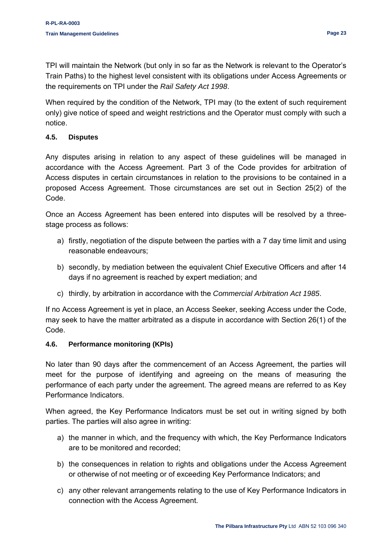TPI will maintain the Network (but only in so far as the Network is relevant to the Operator's Train Paths) to the highest level consistent with its obligations under Access Agreements or the requirements on TPI under the *Rail Safety Act 1998*.

When required by the condition of the Network, TPI may (to the extent of such requirement only) give notice of speed and weight restrictions and the Operator must comply with such a notice.

#### <span id="page-22-0"></span>**4.5. Disputes**

Any disputes arising in relation to any aspect of these guidelines will be managed in accordance with the Access Agreement. Part 3 of the Code provides for arbitration of Access disputes in certain circumstances in relation to the provisions to be contained in a proposed Access Agreement. Those circumstances are set out in Section 25(2) of the Code.

Once an Access Agreement has been entered into disputes will be resolved by a threestage process as follows:

- a) firstly, negotiation of the dispute between the parties with a 7 day time limit and using reasonable endeavours;
- b) secondly, by mediation between the equivalent Chief Executive Officers and after 14 days if no agreement is reached by expert mediation; and
- c) thirdly, by arbitration in accordance with the *Commercial Arbitration Act 1985*.

If no Access Agreement is yet in place, an Access Seeker, seeking Access under the Code, may seek to have the matter arbitrated as a dispute in accordance with Section 26(1) of the Code.

#### <span id="page-22-1"></span>**4.6. Performance monitoring (KPIs)**

No later than 90 days after the commencement of an Access Agreement, the parties will meet for the purpose of identifying and agreeing on the means of measuring the performance of each party under the agreement. The agreed means are referred to as Key Performance Indicators.

When agreed, the Key Performance Indicators must be set out in writing signed by both parties. The parties will also agree in writing:

- a) the manner in which, and the frequency with which, the Key Performance Indicators are to be monitored and recorded;
- b) the consequences in relation to rights and obligations under the Access Agreement or otherwise of not meeting or of exceeding Key Performance Indicators; and
- c) any other relevant arrangements relating to the use of Key Performance Indicators in connection with the Access Agreement.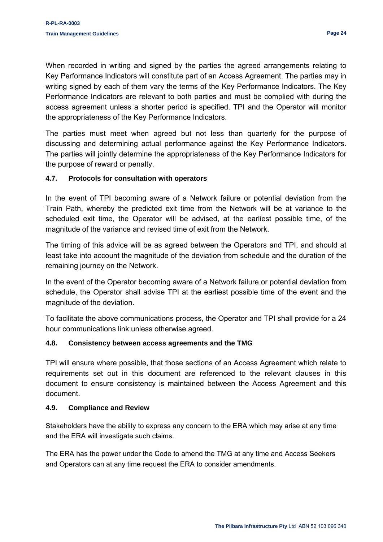When recorded in writing and signed by the parties the agreed arrangements relating to Key Performance Indicators will constitute part of an Access Agreement. The parties may in writing signed by each of them vary the terms of the Key Performance Indicators. The Key Performance Indicators are relevant to both parties and must be complied with during the access agreement unless a shorter period is specified. TPI and the Operator will monitor the appropriateness of the Key Performance Indicators.

The parties must meet when agreed but not less than quarterly for the purpose of discussing and determining actual performance against the Key Performance Indicators. The parties will jointly determine the appropriateness of the Key Performance Indicators for the purpose of reward or penalty.

#### <span id="page-23-0"></span>**4.7. Protocols for consultation with operators**

In the event of TPI becoming aware of a Network failure or potential deviation from the Train Path, whereby the predicted exit time from the Network will be at variance to the scheduled exit time, the Operator will be advised, at the earliest possible time, of the magnitude of the variance and revised time of exit from the Network.

The timing of this advice will be as agreed between the Operators and TPI, and should at least take into account the magnitude of the deviation from schedule and the duration of the remaining journey on the Network.

In the event of the Operator becoming aware of a Network failure or potential deviation from schedule, the Operator shall advise TPI at the earliest possible time of the event and the magnitude of the deviation.

To facilitate the above communications process, the Operator and TPI shall provide for a 24 hour communications link unless otherwise agreed.

#### <span id="page-23-1"></span>**4.8. Consistency between access agreements and the TMG**

TPI will ensure where possible, that those sections of an Access Agreement which relate to requirements set out in this document are referenced to the relevant clauses in this document to ensure consistency is maintained between the Access Agreement and this document.

#### <span id="page-23-2"></span>**4.9. Compliance and Review**

Stakeholders have the ability to express any concern to the ERA which may arise at any time and the ERA will investigate such claims.

The ERA has the power under the Code to amend the TMG at any time and Access Seekers and Operators can at any time request the ERA to consider amendments.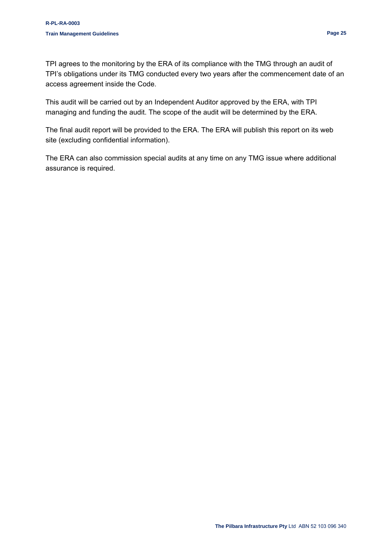TPI agrees to the monitoring by the ERA of its compliance with the TMG through an audit of TPI's obligations under its TMG conducted every two years after the commencement date of an access agreement inside the Code.

This audit will be carried out by an Independent Auditor approved by the ERA, with TPI managing and funding the audit. The scope of the audit will be determined by the ERA.

The final audit report will be provided to the ERA. The ERA will publish this report on its web site (excluding confidential information).

The ERA can also commission special audits at any time on any TMG issue where additional assurance is required.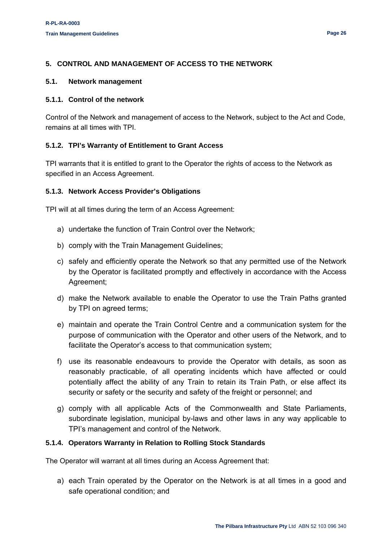#### <span id="page-25-0"></span>**5. CONTROL AND MANAGEMENT OF ACCESS TO THE NETWORK**

#### <span id="page-25-1"></span>**5.1. Network management**

#### <span id="page-25-2"></span>**5.1.1. Control of the network**

Control of the Network and management of access to the Network, subject to the Act and Code, remains at all times with TPI.

#### <span id="page-25-3"></span>**5.1.2. TPI's Warranty of Entitlement to Grant Access**

TPI warrants that it is entitled to grant to the Operator the rights of access to the Network as specified in an Access Agreement.

#### <span id="page-25-4"></span>**5.1.3. Network Access Provider's Obligations**

TPI will at all times during the term of an Access Agreement:

- a) undertake the function of Train Control over the Network;
- b) comply with the Train Management Guidelines;
- c) safely and efficiently operate the Network so that any permitted use of the Network by the Operator is facilitated promptly and effectively in accordance with the Access Agreement;
- d) make the Network available to enable the Operator to use the Train Paths granted by TPI on agreed terms;
- e) maintain and operate the Train Control Centre and a communication system for the purpose of communication with the Operator and other users of the Network, and to facilitate the Operator's access to that communication system;
- f) use its reasonable endeavours to provide the Operator with details, as soon as reasonably practicable, of all operating incidents which have affected or could potentially affect the ability of any Train to retain its Train Path, or else affect its security or safety or the security and safety of the freight or personnel; and
- g) comply with all applicable Acts of the Commonwealth and State Parliaments, subordinate legislation, municipal by-laws and other laws in any way applicable to TPI's management and control of the Network.

#### <span id="page-25-5"></span>**5.1.4. Operators Warranty in Relation to Rolling Stock Standards**

The Operator will warrant at all times during an Access Agreement that:

a) each Train operated by the Operator on the Network is at all times in a good and safe operational condition; and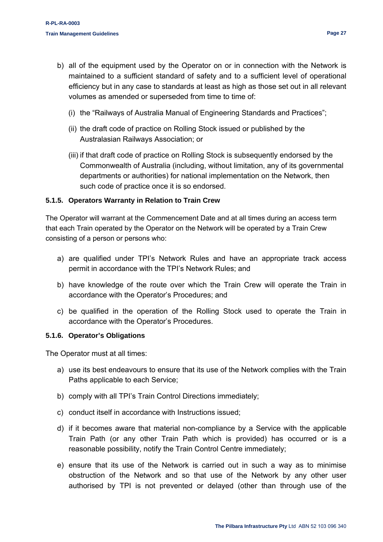- (i) the "Railways of Australia Manual of Engineering Standards and Practices";
- (ii) the draft code of practice on Rolling Stock issued or published by the Australasian Railways Association; or
- (iii) if that draft code of practice on Rolling Stock is subsequently endorsed by the Commonwealth of Australia (including, without limitation, any of its governmental departments or authorities) for national implementation on the Network, then such code of practice once it is so endorsed.

#### <span id="page-26-0"></span>**5.1.5. Operators Warranty in Relation to Train Crew**

The Operator will warrant at the Commencement Date and at all times during an access term that each Train operated by the Operator on the Network will be operated by a Train Crew consisting of a person or persons who:

- a) are qualified under TPI's Network Rules and have an appropriate track access permit in accordance with the TPI's Network Rules; and
- b) have knowledge of the route over which the Train Crew will operate the Train in accordance with the Operator's Procedures; and
- c) be qualified in the operation of the Rolling Stock used to operate the Train in accordance with the Operator's Procedures.

#### <span id="page-26-1"></span>**5.1.6. Operator's Obligations**

The Operator must at all times:

- a) use its best endeavours to ensure that its use of the Network complies with the Train Paths applicable to each Service;
- b) comply with all TPI's Train Control Directions immediately;
- c) conduct itself in accordance with Instructions issued;
- d) if it becomes aware that material non-compliance by a Service with the applicable Train Path (or any other Train Path which is provided) has occurred or is a reasonable possibility, notify the Train Control Centre immediately;
- e) ensure that its use of the Network is carried out in such a way as to minimise obstruction of the Network and so that use of the Network by any other user authorised by TPI is not prevented or delayed (other than through use of the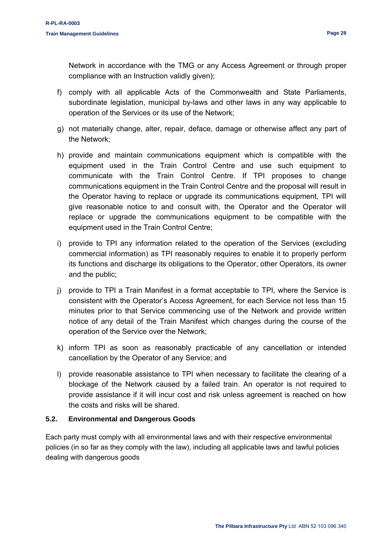Network in accordance with the TMG or any Access Agreement or through proper compliance with an Instruction validly given);

- f) comply with all applicable Acts of the Commonwealth and State Parliaments, subordinate legislation, municipal by-laws and other laws in any way applicable to operation of the Services or its use of the Network;
- g) not materially change, alter, repair, deface, damage or otherwise affect any part of the Network;
- h) provide and maintain communications equipment which is compatible with the equipment used in the Train Control Centre and use such equipment to communicate with the Train Control Centre. If TPI proposes to change communications equipment in the Train Control Centre and the proposal will result in the Operator having to replace or upgrade its communications equipment, TPI will give reasonable notice to and consult with, the Operator and the Operator will replace or upgrade the communications equipment to be compatible with the equipment used in the Train Control Centre;
- i) provide to TPI any information related to the operation of the Services (excluding commercial information) as TPI reasonably requires to enable it to properly perform its functions and discharge its obligations to the Operator, other Operators, its owner and the public;
- j) provide to TPI a Train Manifest in a format acceptable to TPI, where the Service is consistent with the Operator's Access Agreement, for each Service not less than 15 minutes prior to that Service commencing use of the Network and provide written notice of any detail of the Train Manifest which changes during the course of the operation of the Service over the Network;
- k) inform TPI as soon as reasonably practicable of any cancellation or intended cancellation by the Operator of any Service; and
- l) provide reasonable assistance to TPI when necessary to facilitate the clearing of a blockage of the Network caused by a failed train. An operator is not required to provide assistance if it will incur cost and risk unless agreement is reached on how the costs and risks will be shared.

#### <span id="page-27-0"></span>**5.2. Environmental and Dangerous Goods**

Each party must comply with all environmental laws and with their respective environmental policies (in so far as they comply with the law), including all applicable laws and lawful policies dealing with dangerous goods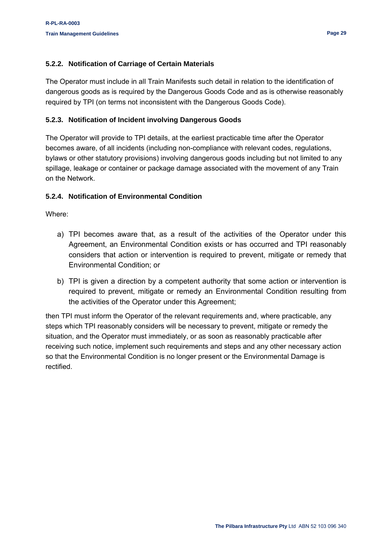#### <span id="page-28-0"></span>**5.2.2. Notification of Carriage of Certain Materials**

The Operator must include in all Train Manifests such detail in relation to the identification of dangerous goods as is required by the Dangerous Goods Code and as is otherwise reasonably required by TPI (on terms not inconsistent with the Dangerous Goods Code).

#### <span id="page-28-1"></span>**5.2.3. Notification of Incident involving Dangerous Goods**

The Operator will provide to TPI details, at the earliest practicable time after the Operator becomes aware, of all incidents (including non-compliance with relevant codes, regulations, bylaws or other statutory provisions) involving dangerous goods including but not limited to any spillage, leakage or container or package damage associated with the movement of any Train on the Network.

#### <span id="page-28-2"></span>**5.2.4. Notification of Environmental Condition**

Where:

- a) TPI becomes aware that, as a result of the activities of the Operator under this Agreement, an Environmental Condition exists or has occurred and TPI reasonably considers that action or intervention is required to prevent, mitigate or remedy that Environmental Condition; or
- b) TPI is given a direction by a competent authority that some action or intervention is required to prevent, mitigate or remedy an Environmental Condition resulting from the activities of the Operator under this Agreement;

then TPI must inform the Operator of the relevant requirements and, where practicable, any steps which TPI reasonably considers will be necessary to prevent, mitigate or remedy the situation, and the Operator must immediately, or as soon as reasonably practicable after receiving such notice, implement such requirements and steps and any other necessary action so that the Environmental Condition is no longer present or the Environmental Damage is rectified.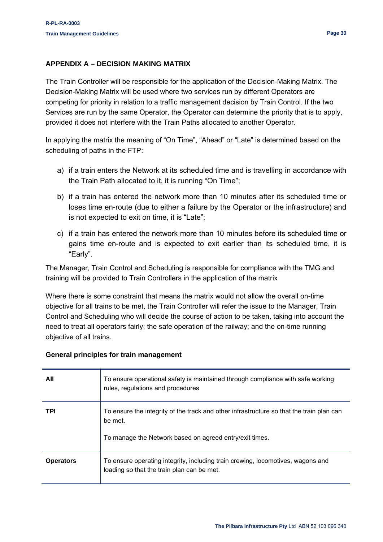#### <span id="page-29-0"></span>**APPENDIX A – DECISION MAKING MATRIX**

The Train Controller will be responsible for the application of the Decision-Making Matrix. The Decision-Making Matrix will be used where two services run by different Operators are competing for priority in relation to a traffic management decision by Train Control. If the two Services are run by the same Operator, the Operator can determine the priority that is to apply, provided it does not interfere with the Train Paths allocated to another Operator.

In applying the matrix the meaning of "On Time", "Ahead" or "Late" is determined based on the scheduling of paths in the FTP:

- a) if a train enters the Network at its scheduled time and is travelling in accordance with the Train Path allocated to it, it is running "On Time";
- b) if a train has entered the network more than 10 minutes after its scheduled time or loses time en-route (due to either a failure by the Operator or the infrastructure) and is not expected to exit on time, it is "Late";
- c) if a train has entered the network more than 10 minutes before its scheduled time or gains time en-route and is expected to exit earlier than its scheduled time, it is "Early".

The Manager, Train Control and Scheduling is responsible for compliance with the TMG and training will be provided to Train Controllers in the application of the matrix

Where there is some constraint that means the matrix would not allow the overall on-time objective for all trains to be met, the Train Controller will refer the issue to the Manager, Train Control and Scheduling who will decide the course of action to be taken, taking into account the need to treat all operators fairly; the safe operation of the railway; and the on-time running objective of all trains.

| All              | To ensure operational safety is maintained through compliance with safe working<br>rules, regulations and procedures                                           |
|------------------|----------------------------------------------------------------------------------------------------------------------------------------------------------------|
| <b>TPI</b>       | To ensure the integrity of the track and other infrastructure so that the train plan can<br>be met.<br>To manage the Network based on agreed entry/exit times. |
| <b>Operators</b> | To ensure operating integrity, including train crewing, locomotives, wagons and<br>loading so that the train plan can be met.                                  |

#### **General principles for train management**